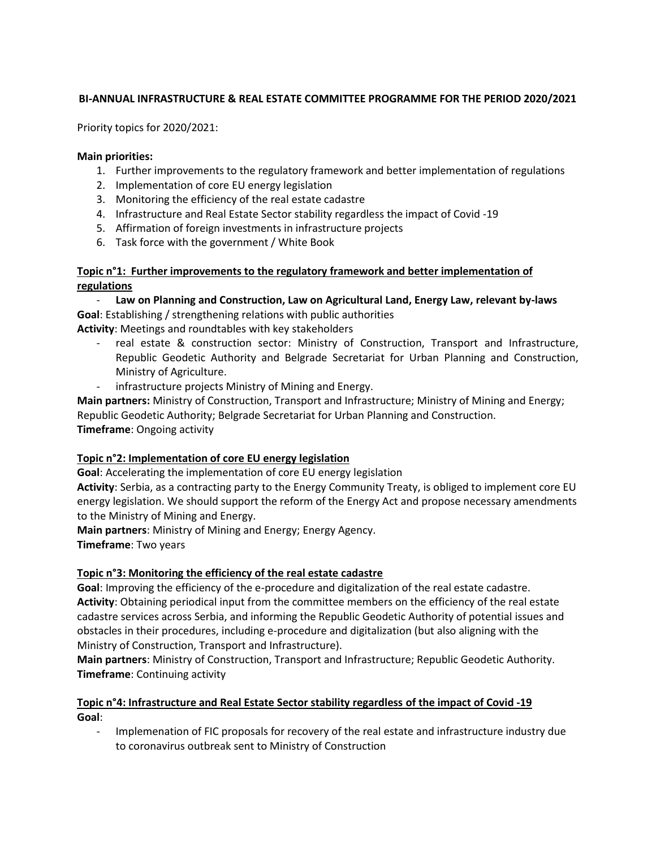# **BI-ANNUAL INFRASTRUCTURE & REAL ESTATE COMMITTEE PROGRAMME FOR THE PERIOD 2020/2021**

Priority topics for 2020/2021:

#### **Main priorities:**

- 1. Further improvements to the regulatory framework and better implementation of regulations
- 2. Implementation of core EU energy legislation
- 3. Monitoring the efficiency of the real estate cadastre
- 4. Infrastructure and Real Estate Sector stability regardless the impact of Covid -19
- 5. Affirmation of foreign investments in infrastructure projects
- 6. Task force with the government / White Book

**Topic n°1: Further improvements to the regulatory framework and better implementation of regulations** 

Law on Planning and Construction, Law on Agricultural Land, Energy Law, relevant by-laws **Goal**: Establishing / strengthening relations with public authorities

**Activity**: Meetings and roundtables with key stakeholders

- real estate & construction sector: Ministry of Construction, Transport and Infrastructure, Republic Geodetic Authority and Belgrade Secretariat for Urban Planning and Construction, Ministry of Agriculture.
- infrastructure projects Ministry of Mining and Energy.

**Main partners:** Ministry of Construction, Transport and Infrastructure; Ministry of Mining and Energy; Republic Geodetic Authority; Belgrade Secretariat for Urban Planning and Construction. **Timeframe**: Ongoing activity

### **Topic n°2: Implementation of core EU energy legislation**

**Goal**: Accelerating the implementation of core EU energy legislation

**Activity**: Serbia, as a contracting party to the Energy Community Treaty, is obliged to implement core EU energy legislation. We should support the reform of the Energy Act and propose necessary amendments to the Ministry of Mining and Energy.

**Main partners**: Ministry of Mining and Energy; Energy Agency. **Timeframe**: Two years

### **Topic n°3: Monitoring the efficiency of the real estate cadastre**

**Goal**: Improving the efficiency of the e-procedure and digitalization of the real estate cadastre. **Activity**: Obtaining periodical input from the committee members on the efficiency of the real estate cadastre services across Serbia, and informing the Republic Geodetic Authority of potential issues and obstacles in their procedures, including e-procedure and digitalization (but also aligning with the Ministry of Construction, Transport and Infrastructure).

**Main partners**: Ministry of Construction, Transport and Infrastructure; Republic Geodetic Authority. **Timeframe**: Continuing activity

# **Topic n°4: Infrastructure and Real Estate Sector stability regardless of the impact of Covid -19 Goal**:

- Implemenation of FIC proposals for recovery of the real estate and infrastructure industry due to coronavirus outbreak sent to Ministry of Construction